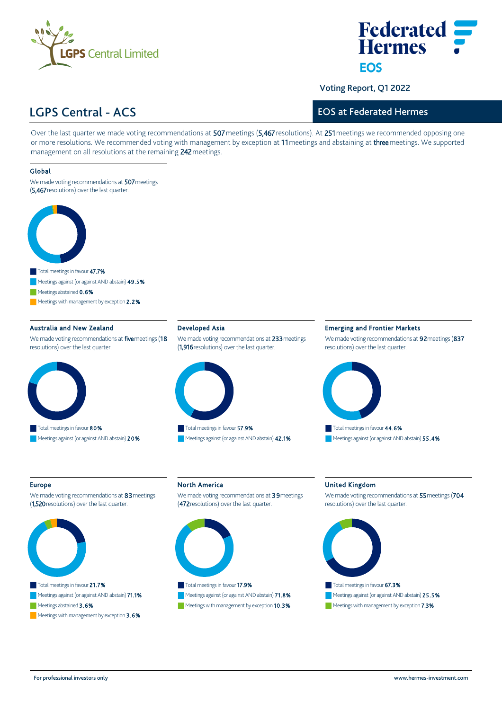



Voting Report, Q1 2022

# LGPS Central ‐ ACS

### EOS at Federated Hermes

Over the last quarter we made voting recommendations at 507 meetings (5,467 resolutions). At 251 meetings we recommended opposing one or more resolutions. We recommended voting with management by exception at 11 meetings and abstaining at three meetings. We supported management on all resolutions at the remaining 242 meetings.

### Global

We made voting recommendations at 507 meetings (5,467 resolutions) over the last quarter.



Meetings with management by exception 2.2%

### Australia and New Zealand

We made voting recommendations at five meetings (18 resolutions) over the last quarter.



### Developed Asia

We made voting recommendations at 233 meetings (1,916 resolutions) over the last quarter.



Meetings against (or against AND abstain) 42.1%

### Emerging and Frontier Markets

We made voting recommendations at 92 meetings (837 resolutions) over the last quarter.



#### Europe

We made voting recommendations at 83 meetings (1,520 resolutions) over the last quarter.



### Meetings abstained 3.6%

Meetings with management by exception  $3.6\%$ 

## North America

We made voting recommendations at 39 meetings (472 resolutions) over the last quarter.



# Meetings against (or against AND abstain) 71.8%

Meetings with management by exception 10.3%

### United Kingdom

We made voting recommendations at 55 meetings (704 resolutions) over the last quarter.